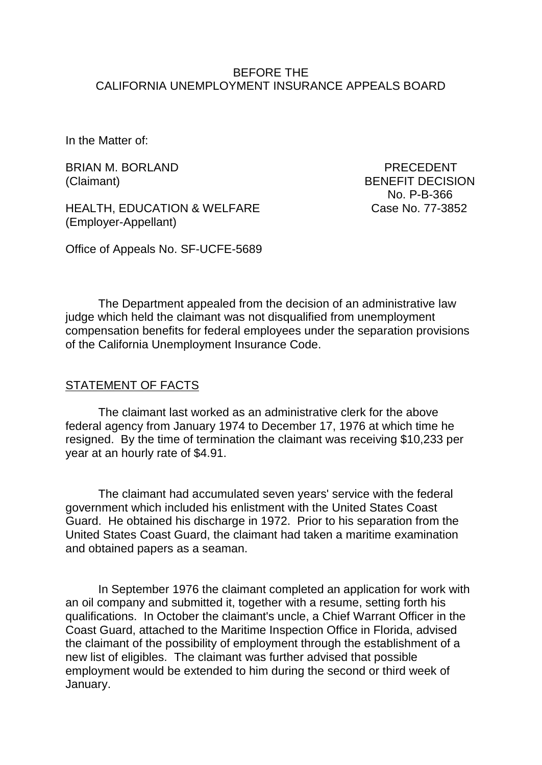#### BEFORE THE CALIFORNIA UNEMPLOYMENT INSURANCE APPEALS BOARD

In the Matter of:

BRIAN M. BORLAND PRECEDENT

HEALTH, EDUCATION & WELFARE Case No. 77-3852 (Employer-Appellant)

(Claimant) BENEFIT DECISION No. P-B-366

Office of Appeals No. SF-UCFE-5689

The Department appealed from the decision of an administrative law judge which held the claimant was not disqualified from unemployment compensation benefits for federal employees under the separation provisions of the California Unemployment Insurance Code.

#### STATEMENT OF FACTS

The claimant last worked as an administrative clerk for the above federal agency from January 1974 to December 17, 1976 at which time he resigned. By the time of termination the claimant was receiving \$10,233 per year at an hourly rate of \$4.91.

The claimant had accumulated seven years' service with the federal government which included his enlistment with the United States Coast Guard. He obtained his discharge in 1972. Prior to his separation from the United States Coast Guard, the claimant had taken a maritime examination and obtained papers as a seaman.

In September 1976 the claimant completed an application for work with an oil company and submitted it, together with a resume, setting forth his qualifications. In October the claimant's uncle, a Chief Warrant Officer in the Coast Guard, attached to the Maritime Inspection Office in Florida, advised the claimant of the possibility of employment through the establishment of a new list of eligibles. The claimant was further advised that possible employment would be extended to him during the second or third week of January.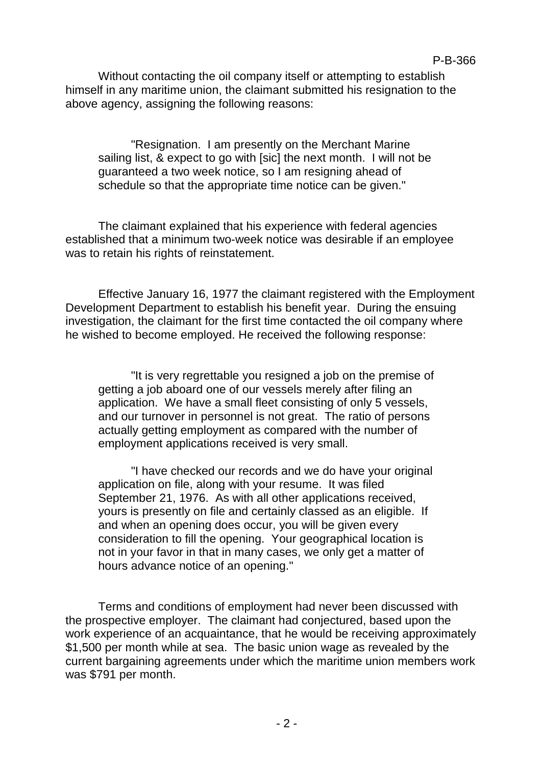Without contacting the oil company itself or attempting to establish himself in any maritime union, the claimant submitted his resignation to the above agency, assigning the following reasons:

"Resignation. I am presently on the Merchant Marine sailing list, & expect to go with [sic] the next month. I will not be guaranteed a two week notice, so I am resigning ahead of schedule so that the appropriate time notice can be given."

The claimant explained that his experience with federal agencies established that a minimum two-week notice was desirable if an employee was to retain his rights of reinstatement.

Effective January 16, 1977 the claimant registered with the Employment Development Department to establish his benefit year. During the ensuing investigation, the claimant for the first time contacted the oil company where he wished to become employed. He received the following response:

"It is very regrettable you resigned a job on the premise of getting a job aboard one of our vessels merely after filing an application. We have a small fleet consisting of only 5 vessels, and our turnover in personnel is not great. The ratio of persons actually getting employment as compared with the number of employment applications received is very small.

"I have checked our records and we do have your original application on file, along with your resume. It was filed September 21, 1976. As with all other applications received, yours is presently on file and certainly classed as an eligible. If and when an opening does occur, you will be given every consideration to fill the opening. Your geographical location is not in your favor in that in many cases, we only get a matter of hours advance notice of an opening."

Terms and conditions of employment had never been discussed with the prospective employer. The claimant had conjectured, based upon the work experience of an acquaintance, that he would be receiving approximately \$1,500 per month while at sea. The basic union wage as revealed by the current bargaining agreements under which the maritime union members work was \$791 per month.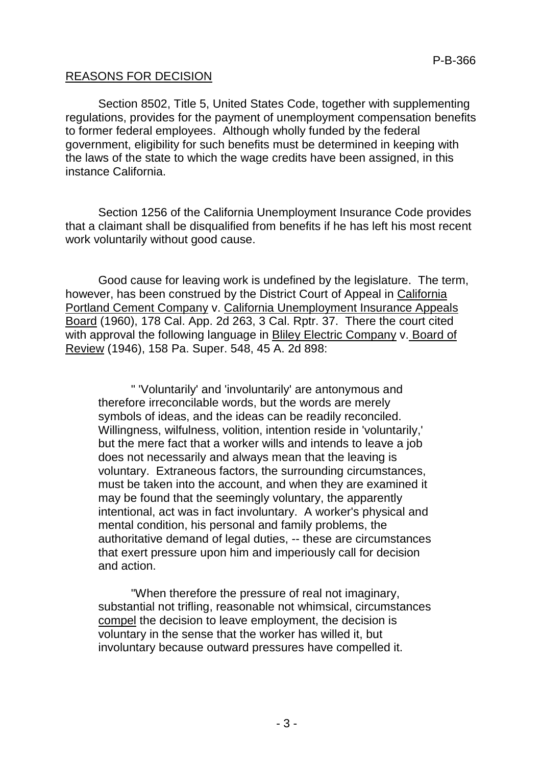### REASONS FOR DECISION

Section 8502, Title 5, United States Code, together with supplementing regulations, provides for the payment of unemployment compensation benefits to former federal employees. Although wholly funded by the federal government, eligibility for such benefits must be determined in keeping with the laws of the state to which the wage credits have been assigned, in this instance California.

Section 1256 of the California Unemployment Insurance Code provides that a claimant shall be disqualified from benefits if he has left his most recent work voluntarily without good cause.

Good cause for leaving work is undefined by the legislature. The term, however, has been construed by the District Court of Appeal in California Portland Cement Company v. California Unemployment Insurance Appeals Board (1960), 178 Cal. App. 2d 263, 3 Cal. Rptr. 37. There the court cited with approval the following language in Bliley Electric Company v. Board of Review (1946), 158 Pa. Super. 548, 45 A. 2d 898:

" 'Voluntarily' and 'involuntarily' are antonymous and therefore irreconcilable words, but the words are merely symbols of ideas, and the ideas can be readily reconciled. Willingness, wilfulness, volition, intention reside in 'voluntarily,' but the mere fact that a worker wills and intends to leave a job does not necessarily and always mean that the leaving is voluntary. Extraneous factors, the surrounding circumstances, must be taken into the account, and when they are examined it may be found that the seemingly voluntary, the apparently intentional, act was in fact involuntary. A worker's physical and mental condition, his personal and family problems, the authoritative demand of legal duties, -- these are circumstances that exert pressure upon him and imperiously call for decision and action.

"When therefore the pressure of real not imaginary, substantial not trifling, reasonable not whimsical, circumstances compel the decision to leave employment, the decision is voluntary in the sense that the worker has willed it, but involuntary because outward pressures have compelled it.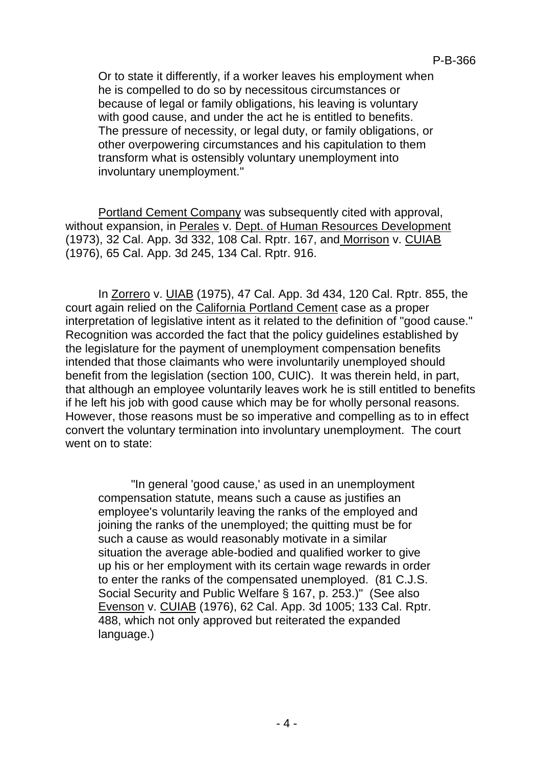Or to state it differently, if a worker leaves his employment when he is compelled to do so by necessitous circumstances or because of legal or family obligations, his leaving is voluntary with good cause, and under the act he is entitled to benefits. The pressure of necessity, or legal duty, or family obligations, or other overpowering circumstances and his capitulation to them transform what is ostensibly voluntary unemployment into involuntary unemployment."

Portland Cement Company was subsequently cited with approval, without expansion, in Perales v. Dept. of Human Resources Development (1973), 32 Cal. App. 3d 332, 108 Cal. Rptr. 167, and Morrison v. CUIAB (1976), 65 Cal. App. 3d 245, 134 Cal. Rptr. 916.

In Zorrero v. UIAB (1975), 47 Cal. App. 3d 434, 120 Cal. Rptr. 855, the court again relied on the California Portland Cement case as a proper interpretation of legislative intent as it related to the definition of "good cause." Recognition was accorded the fact that the policy guidelines established by the legislature for the payment of unemployment compensation benefits intended that those claimants who were involuntarily unemployed should benefit from the legislation (section 100, CUIC). It was therein held, in part, that although an employee voluntarily leaves work he is still entitled to benefits if he left his job with good cause which may be for wholly personal reasons. However, those reasons must be so imperative and compelling as to in effect convert the voluntary termination into involuntary unemployment. The court went on to state:

"In general 'good cause,' as used in an unemployment compensation statute, means such a cause as justifies an employee's voluntarily leaving the ranks of the employed and joining the ranks of the unemployed; the quitting must be for such a cause as would reasonably motivate in a similar situation the average able-bodied and qualified worker to give up his or her employment with its certain wage rewards in order to enter the ranks of the compensated unemployed. (81 C.J.S. Social Security and Public Welfare § 167, p. 253.)" (See also Evenson v. CUIAB (1976), 62 Cal. App. 3d 1005; 133 Cal. Rptr. 488, which not only approved but reiterated the expanded language.)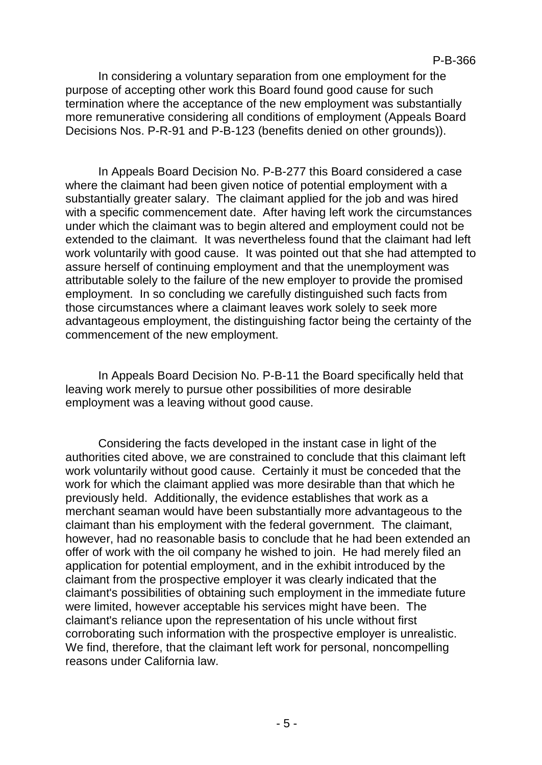In considering a voluntary separation from one employment for the purpose of accepting other work this Board found good cause for such termination where the acceptance of the new employment was substantially more remunerative considering all conditions of employment (Appeals Board Decisions Nos. P-R-91 and P-B-123 (benefits denied on other grounds)).

In Appeals Board Decision No. P-B-277 this Board considered a case where the claimant had been given notice of potential employment with a substantially greater salary. The claimant applied for the job and was hired with a specific commencement date. After having left work the circumstances under which the claimant was to begin altered and employment could not be extended to the claimant. It was nevertheless found that the claimant had left work voluntarily with good cause. It was pointed out that she had attempted to assure herself of continuing employment and that the unemployment was attributable solely to the failure of the new employer to provide the promised employment. In so concluding we carefully distinguished such facts from those circumstances where a claimant leaves work solely to seek more advantageous employment, the distinguishing factor being the certainty of the commencement of the new employment.

In Appeals Board Decision No. P-B-11 the Board specifically held that leaving work merely to pursue other possibilities of more desirable employment was a leaving without good cause.

Considering the facts developed in the instant case in light of the authorities cited above, we are constrained to conclude that this claimant left work voluntarily without good cause. Certainly it must be conceded that the work for which the claimant applied was more desirable than that which he previously held. Additionally, the evidence establishes that work as a merchant seaman would have been substantially more advantageous to the claimant than his employment with the federal government. The claimant, however, had no reasonable basis to conclude that he had been extended an offer of work with the oil company he wished to join. He had merely filed an application for potential employment, and in the exhibit introduced by the claimant from the prospective employer it was clearly indicated that the claimant's possibilities of obtaining such employment in the immediate future were limited, however acceptable his services might have been. The claimant's reliance upon the representation of his uncle without first corroborating such information with the prospective employer is unrealistic. We find, therefore, that the claimant left work for personal, noncompelling reasons under California law.